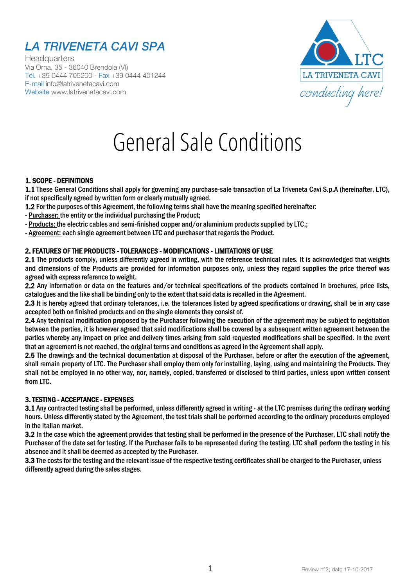# LA TRIVENETA CAVI SPA

**Headquarters** Via Orna, 35 - 36040 Brendola (VI) Tel. +39 0444 705200 - Fax +39 0444 401244 E-mail info@latrivenetacavi.com Website www.latrivenetacavi.com



# General Sale Conditions

#### 1. SCOPE - DEFINITIONS

1.1 These General Conditions shall apply for governing any purchase-sale transaction of La Triveneta Cavi S.p.A (hereinafter, LTC), if not specifically agreed by written form or clearly mutually agreed.

1.2 For the purposes of this Agreement, the following terms shall have the meaning specified hereinafter:

- Purchaser: the entity or the individual purchasing the Product;

- Products: the electric cables and semi-finished copper and/or aluminium products supplied by LTC,;

- Agreement: each single agreement between LTC and purchaser that regards the Product.

# 2. FEATURES OF THE PRODUCTS - TOLERANCES - MODIFICATIONS - LIMITATIONS OF USE

2.1 The products comply, unless differently agreed in writing, with the reference technical rules. It is acknowledged that weights and dimensions of the Products are provided for information purposes only, unless they regard supplies the price thereof was agreed with express reference to weight.

2.2 Any information or data on the features and/or technical specifications of the products contained in brochures, price lists, catalogues and the like shall be binding only to the extent that said data is recalled in the Agreement.

2.3 It is hereby agreed that ordinary tolerances, i.e. the tolerances listed by agreed specifications or drawing, shall be in any case accepted both on finished products and on the single elements they consist of.

2.4 Any technical modification proposed by the Purchaser following the execution of the agreement may be subject to negotiation between the parties, it is however agreed that said modifications shall be covered by a subsequent written agreement between the parties whereby any impact on price and delivery times arising from said requested modifications shall be specified. In the event that an agreement is not reached, the original terms and conditions as agreed in the Agreement shall apply.

2.5 The drawings and the technical documentation at disposal of the Purchaser, before or after the execution of the agreement, shall remain property of LTC. The Purchaser shall employ them only for installing, laying, using and maintaining the Products. They shall not be employed in no other way, nor, namely, copied, transferred or disclosed to third parties, unless upon written consent from LTC.

# 3. TESTING - ACCEPTANCE - EXPENSES

3.1 Any contracted testing shall be performed, unless differently agreed in writing - at the LTC premises during the ordinary working hours. Unless differently stated by the Agreement, the test trials shall be performed according to the ordinary procedures employed in the Italian market.

3.2 In the case which the agreement provides that testing shall be performed in the presence of the Purchaser, LTC shall notify the Purchaser of the date set for testing. If the Purchaser fails to be represented during the testing, LTC shall perform the testing in his absence and it shall be deemed as accepted by the Purchaser.

3.3 The costs for the testing and the relevant issue of the respective testing certificates shall be charged to the Purchaser, unless differently agreed during the sales stages.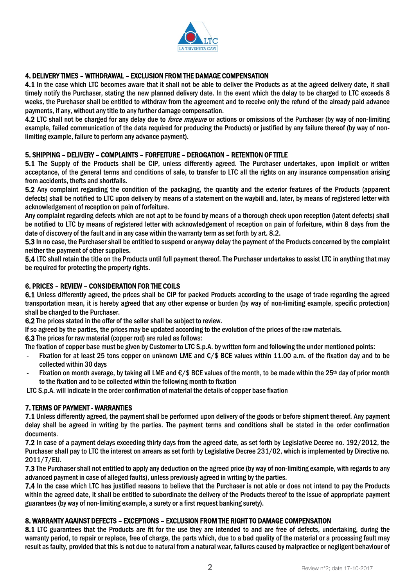

# 4. DELIVERY TIMES – WITHDRAWAL – EXCLUSION FROM THE DAMAGE COMPENSATION

4.1 In the case which LTC becomes aware that it shall not be able to deliver the Products as at the agreed delivery date, it shall timely notify the Purchaser, stating the new planned delivery date. In the event which the delay to be charged to LTC exceeds 8 weeks, the Purchaser shall be entitled to withdraw from the agreement and to receive only the refund of the already paid advance payments, if any, without any title to any further damage compensation.

4.2 LTC shall not be charged for any delay due to *force majeure* or actions or omissions of the Purchaser (by way of non-limiting example, failed communication of the data required for producing the Products) or justified by any failure thereof (by way of nonlimiting example, failure to perform any advance payment).

#### 5. SHIPPING – DELIVERY – COMPLAINTS – FORFEITURE – DEROGATION – RETENTION OF TITLE

5.1 The Supply of the Products shall be CIP, unless differently agreed. The Purchaser undertakes, upon implicit or written acceptance, of the general terms and conditions of sale, to transfer to LTC all the rights on any insurance compensation arising from accidents, thefts and shortfalls.

5.2 Any complaint regarding the condition of the packaging, the quantity and the exterior features of the Products (apparent defects) shall be notified to LTC upon delivery by means of a statement on the waybill and, later, by means of registered letter with acknowledgement of reception on pain of forfeiture.

Any complaint regarding defects which are not apt to be found by means of a thorough check upon reception (latent defects) shall be notified to LTC by means of registered letter with acknowledgement of reception on pain of forfeiture, within 8 days from the date of discovery of the fault and in any case within the warranty term as set forth by art. 8.2.

5.3 In no case, the Purchaser shall be entitled to suspend or anyway delay the payment of the Products concerned by the complaint neither the payment of other supplies.

5.4 LTC shall retain the title on the Products until full payment thereof. The Purchaser undertakes to assist LTC in anything that may be required for protecting the property rights.

#### 6. PRICES – REVIEW – CONSIDERATION FOR THE COILS

6.1 Unless differently agreed, the prices shall be CIP for packed Products according to the usage of trade regarding the agreed transportation mean, it is hereby agreed that any other expense or burden (by way of non-limiting example, specific protection) shall be charged to the Purchaser.

6.2 The prices stated in the offer of the seller shall be subject to review.

If so agreed by the parties, the prices may be updated according to the evolution of the prices of the raw materials.

6.3 The prices for raw material (copper rod) are ruled as follows:

The fixation of copper base must be given by Customer to LTC S.p.A. by written form and following the under mentioned points:

- Fixation for at least 25 tons copper on unknown LME and  $\epsilon$ /\$ BCE values within 11.00 a.m. of the fixation day and to be collected within 30 days
- Fixation on month average, by taking all LME and  $\epsilon$ /\$ BCE values of the month, to be made within the 25<sup>th</sup> day of prior month to the fixation and to be collected within the following month to fixation

LTC S.p.A. will indicate in the order confirmation of material the details of copper base fixation

#### 7. TERMS OF PAYMENT - WARRANTIES

7.1 Unless differently agreed, the payment shall be performed upon delivery of the goods or before shipment thereof. Any payment delay shall be agreed in writing by the parties. The payment terms and conditions shall be stated in the order confirmation documents.

7.2 In case of a payment delays exceeding thirty days from the agreed date, as set forth by Legislative Decree no. 192/2012, the Purchaser shall pay to LTC the interest on arrears as set forth by Legislative Decree 231/02, which is implemented by Directive no. 2011/7/EU.

7.3 The Purchaser shall not entitled to apply any deduction on the agreed price (by way of non-limiting example, with regards to any advanced payment in case of alleged faults), unless previously agreed in writing by the parties.

7.4 In the case which LTC has justified reasons to believe that the Purchaser is not able or does not intend to pay the Products within the agreed date, it shall be entitled to subordinate the delivery of the Products thereof to the issue of appropriate payment guarantees (by way of non-limiting example, a surety or a first request banking surety).

#### 8. WARRANTY AGAINST DEFECTS – EXCEPTIONS – EXCLUSION FROM THE RIGHT TO DAMAGE COMPENSATION

8.1 LTC guarantees that the Products are fit for the use they are intended to and are free of defects, undertaking, during the warranty period, to repair or replace, free of charge, the parts which, due to a bad quality of the material or a processing fault may result as faulty, provided that this is not due to natural from a natural wear, failures caused by malpractice or negligent behaviour of